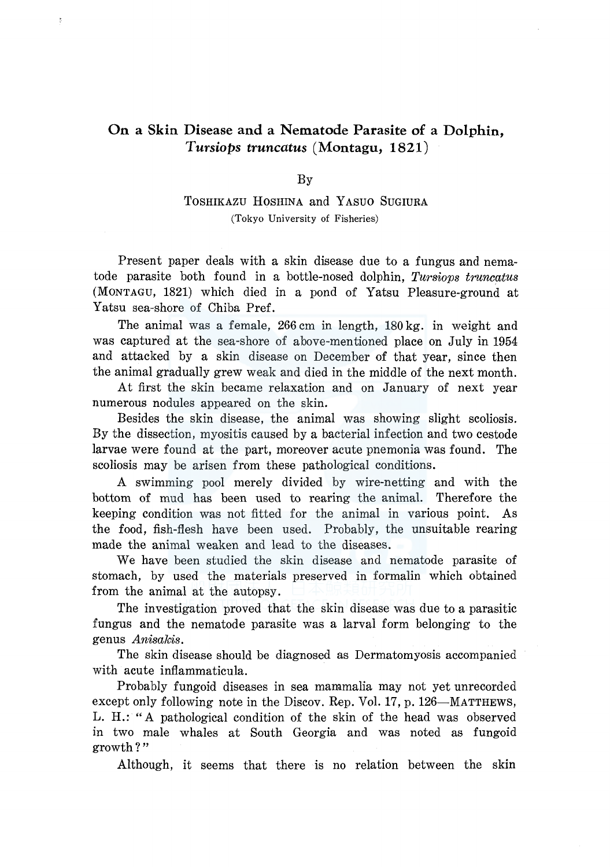# **On a Skin Disease and a Nematode Parasite of a Dolphin,**  *Tursiops truncatus* **(Montagu, 1821)**

 $\frac{9}{4}$ 

#### By

## TOSHIKAZU HOSHINA and YASUO SuGIURA (Tokyo University of Fisheries)

Present paper deals with a skin disease due to a fungus and nematode parasite both found in a bottle-nosed dolphin, *Tursiops truncatus*  (MONTAGU, 1821) which died in a pond of Yatsu Pleasure-ground at Yatsu sea-shore of Chiba Pref.

The animal was a female, 266 cm in length, 180 kg. in weight and was captured at the sea-shore of above-mentioned place on July in 1954 and attacked by a skin disease on December of that year, since then the animal gradually grew weak and died in the middle of the next month.

At first the skin became relaxation and on January of next year numerous nodules appeared on the skin.

Besides the skin disease, the animal was showing slight scoliosis. By the dissection, myositis caused by a bacterial infection and two cestode larvae were found at the part, moreover acute pnemonia was found. The scoliosis may be arisen from these pathological conditions.

A swimming pool merely divided by wire-netting and with the bottom of mud has been used to rearing the animal. Therefore the keeping condition was not fitted for the animal in various point. As the food, fish-flesh have been used. Probably, the unsuitable rearing made the animal weaken and lead to the diseases.

We have been studied the skin disease and nematode parasite of stomach, by used the materials preserved in formalin which obtained from the animal at the autopsy.

The investigation proved that the skin disease was due to a parasitic fungus and the nematode parasite was a larval form belonging to the gen us *Anisakis.* 

The skin disease should be diagnosed as Dermatomyosis accompanied with acute inflammaticula.

Probably fungoid diseases in sea mammalia may not yet unrecorded except only following note in the Discov. Rep. Vol. 17, p. 126—MATTHEWS, L. H.: "A pathological condition of the skin of the head was observed in two male whales at South Georgia and was noted as fungoid growth?"

Although, it seems that there is no relation between the skin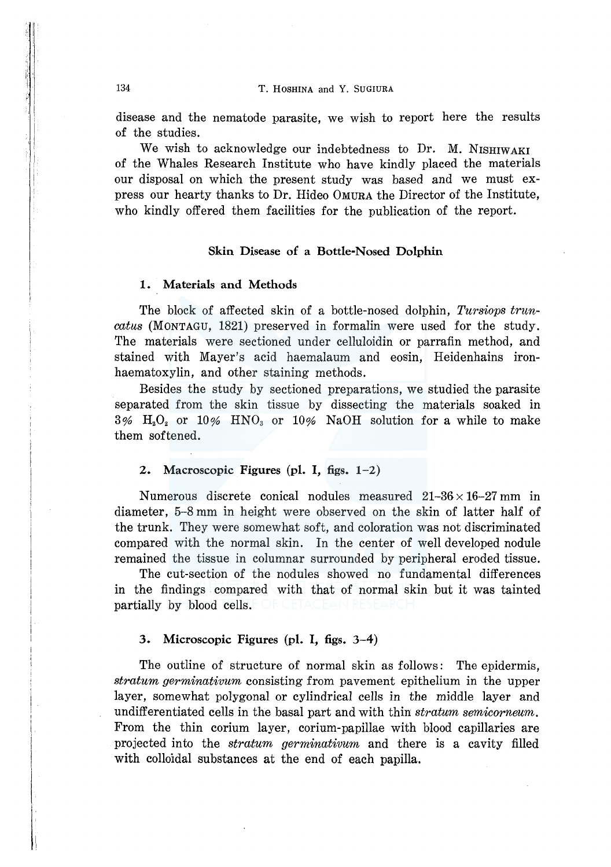disease and the nematode parasite, we wish to report here the results of the studies.

We wish to acknowledge our indebtedness to Dr. M. NISHIWAKI of the Whales Research Institute who have kindly placed the materials our disposal on which the present study was based and we must express our hearty thanks to Dr. Hideo OMURA the Director of the Institute, who kindly offered them facilities for the publication of the report.

#### Skin Disease of a Bottle-Nosed Dolphin

#### 1. Materials and Methods

The block of affected skin of a bottle-nosed dolphin, *Tursiops truncatus* (MONTAGU, 1821) preserved in formalin were used for the study. The materials were sectioned under celluloidin or parrafin method, and stained with Mayer's acid haemalaum and eosin, Heidenhains ironhaematoxylin, and other staining methods.

Besides the study by sectioned preparations, we studied the parasite separated from the skin tissue by dissecting the materials soaked in  $3\%$  H<sub>2</sub>O<sub>2</sub> or 10% HNO<sub>3</sub> or 10% NaOH solution for a while to make them softened.

### 2. Macroscopic Figures (pl. I, figs. 1-2)

Numerous discrete conical nodules measured  $21-36 \times 16-27$  mm in diameter, 5-8 mm in height were observed on the skin of latter half of the trunk. They were somewhat soft, and coloration was not discriminated compared with the normal skin. In the center of well developed nodule remained the tissue in columnar surrounded by peripheral eroded tissue.

The cut-section of the nodules showed no fundamental differences in the findings compared with that of normal skin but it was tainted partially by blood cells.

#### 3. Microscopic Figures (pl. I, figs. 3-4)

The outline of structure of normal skin as follows: The epidermis, *stratum germinativum* consisting from pavement epithelium in the upper layer, somewhat polygonal or cylindrical cells in the middle layer and undifferentiated cells in the basal part and with thin *stratum semicorneum.*  From the thin corium layer, corium-papillae with blood capillaries are projected into the *stratum germinativum* and there is a cavity filled with colloidal substances at the end of each papilla.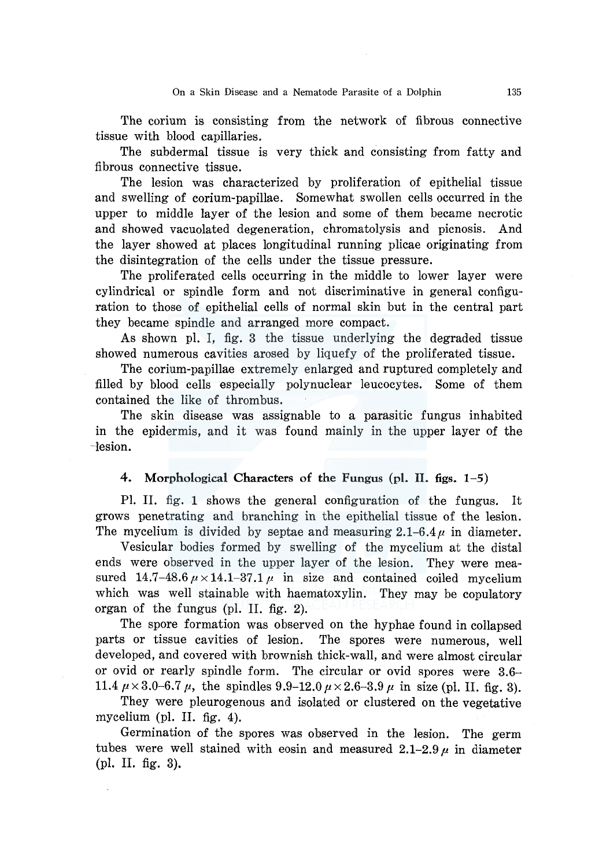The corium is consisting from the network of fibrous connective tissue with blood capillaries.

The subdermal tissue is very thick and consisting from fatty and fibrous connective tissue.

The lesion was characterized by proliferation of epithelial tissue and swelling of corium-papillae. Somewhat swollen cells occurred in the upper to middle layer of the lesion and some of them became necrotic and showed vacuolated degeneration, chromatolysis and picnosis. And the layer showed at places longitudinal running plicae originating from the disintegration of the cells under the tissue pressure.

The proliferated cells occurring in the middle to lower layer were cylindrical or spindle form and not discriminative in general configuration to those of epithelial cells of normal skin but in the central part they became spindle and arranged more compact.

As shown pl. I, fig. 3 the tissue underlying the degraded tissue showed numerous cavities arosed by liquefy of the proliferated tissue.

The corium-papillae extremely enlarged and ruptured completely and filled by blood cells especially polynuclear leucocytes. Some of them contained the like of thrombus.

The skin disease was assignable to a parasitic fungus inhabited in the epidermis, and it was found mainly in the upper layer of the ~lesion.

#### 4. Morphological Characters of the Fungus (pl. II. figs. 1-5)

Pl. II. fig. 1 shows the general configuration of the fungus. It grows penetrating and branching in the epithelial tissue of the lesion. The mycelium is divided by septae and measuring  $2.1-6.4\,\mu$  in diameter.

Vesicular bodies formed by swelling of the mycelium at the distal ends were observed in the upper layer of the lesion. They were measured 14.7-48.6  $\mu \times 14.1-37.1 \mu$  in size and contained coiled mycelium which was well stainable with haematoxylin. They may be copulatory organ of the fungus (pl. II. fig. 2).

The spore formation was observed on the hyphae found in collapsed parts or tissue cavities of lesion. The spores were numerous, well developed, and covered with brownish thick-wall, and were almost circular or ovid or rearly spindle form. The circular or ovid spores were 3.6- 11.4  $\mu \times 3.0$ –6.7  $\mu$ , the spindles 9.9–12.0  $\mu \times 2.6$ –3.9  $\mu$  in size (pl. II. fig. 3).

They were pleurogenous and isolated or clustered on the vegetative mycelium (pl. II. fig. 4).

Germination of the spores was observed in the lesion. The germ tubes were well stained with eosin and measured  $2.1-2.9 \mu$  in diameter (pl. II. fig. 3).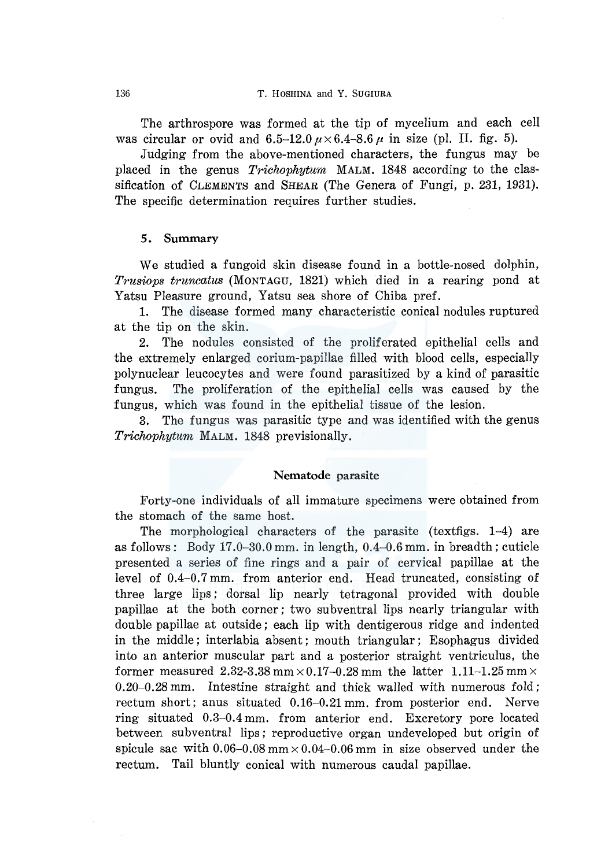The arthrospore was formed at the tip of mycelium and each cell was circular or ovid and  $6.5-12.0 \mu \times 6.4-8.6 \mu$  in size (pl. II. fig. 5).

Judging from the above-mentioned characters, the fungus may be placed in the genus *Trichophytum* MALM. 1848 according to the classification of CLEMENTS and SHEAR (The Genera of Fungi, p. 231, 1931). The specific determination requires further studies.

#### *5.* Summary

We studied a fungoid skin disease found in a bottle-nosed dolphin, *Trusiops truncatus* (MONTAGU, 1821) which died in a rearing pond at Yatsu Pleasure ground, Yatsu sea shore of Chiba pref.

1. The disease formed many characteristic conical nodules ruptured at the tip on the skin.

2. The nodules consisted of the proliferated epithelial cells and the extremely enlarged corium-papillae filled with blood cells, especially polynuclear leucocytes and were found parasitized by a kind of parasitic fungus. The proliferation of the epithelial cells was caused by the fungus, which was found in the epithelial tissue of the lesion.

3. The fungus was parasitic type and was identified with the genus *Trichophytum* MALM. 1848 previsionally.

#### Nematode parasite

Forty-one individuals of all immature specimens were obtained from the stomach of the same host.

The morphological characters of the parasite (textfigs. 1-4) are as follows: Body  $17.0-30.0$  mm. in length,  $0.4-0.6$  mm. in breadth; cuticle presented a series of fine rings and a pair of cervical papillae at the level of 0.4-0.7 mm. from anterior end. Head truncated, consisting of three large lips; dorsal lip nearly tetragonal provided with double papillae at the both corner; two subventral lips nearly triangular with double papillae at outside; each lip with dentigerous ridge and indented in the middle; interlabia absent; mouth triangular; Esophagus divided into an anterior muscular part and a posterior straight ventriculus, the former measured 2.32-3.38 mm  $\times$  0.17-0.28 mm the latter 1.11-1.25 mm  $\times$ 0.20-0.28 mm. Intestine straight and thick walled with numerous fold; rectum short; anus situated 0.16-0.21 mm. from posterior end. Nerve ring situated 0.3-0.4 mm. from anterior end. Excretory pore located between subventral lips; reproductive organ undeveloped but origin of spicule sac with  $0.06-0.08$  mm  $\times 0.04-0.06$  mm in size observed under the rectum. Tail bluntly conical with numerous caudal papillae.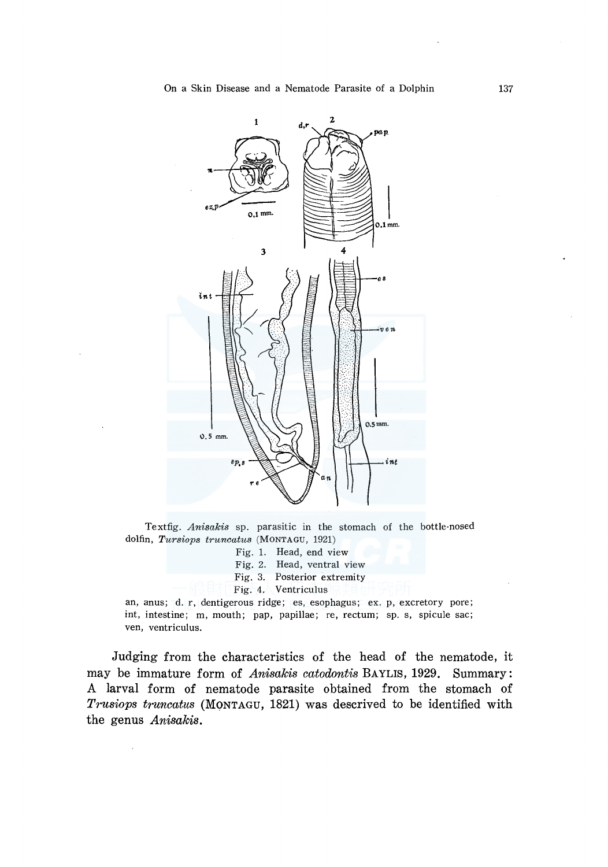

Textfig. *Anisakis* sp. parasitic in the stomach of the bottle-nosed dolfin, *Tursiops truncatus* (MONTAGU, 1921)

- Fig. 1. Head, end view
- Fig. 2. Head, ventral view
- Fig. 3. Posterior extremity
- Fig. 4. Ventriculus

an, anus; d. r, dentigerous ridge; es, esophagus; ex. p, excretory pore; int, intestine; m, mouth; pap, papillae; re, rectum; sp. s, spicule sac; ven, ventriculus.

Judging from the characteristics of the head of the nematode, it may be immature form of *Anisakis catodontis* BAYLIS, 1929. Summary: A larval form of nematode parasite obtained from the stomach of *Trusiops truncatus* (MONTAGU, 1821) was descrived to be identified with the genus *Anisakis.*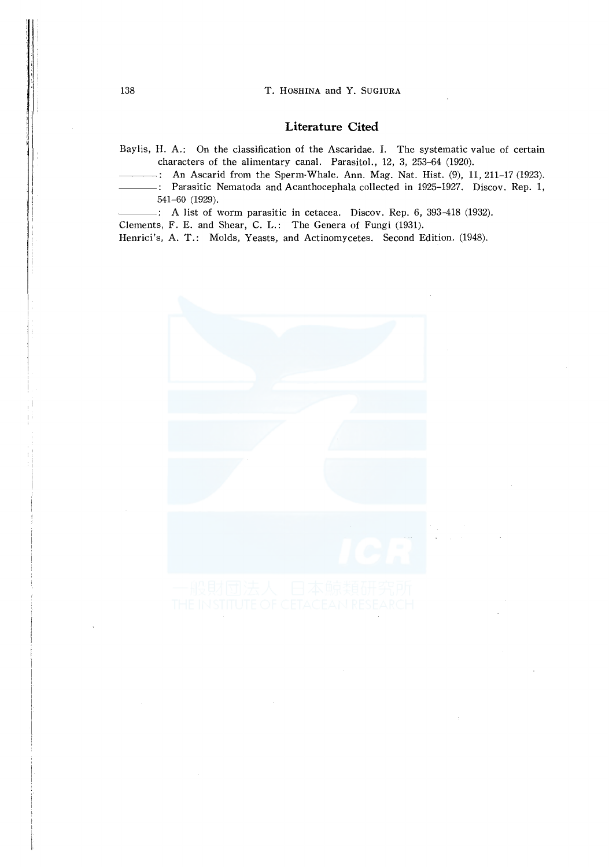#### **Literature Cited**

Baylis, **H.** A.: On the classification of the Ascaridae. I. The systematic value of certain characters of the alimentary canal. Parasitol., 12, 3, 253-64 (1920).

- An Ascarid from the Sperm-Whale. Ann. Mag. Nat. Hist. (9), **11,** 211-17 (1923).
- Parasitic Nematoda and Acanthocephala collected **in** 1925-1927. Discov. Rep. 1, 541-60 (1929).

A list of worm parasitic in cetacea. Discov. Rep. 6, 393-418 (1932).

Clements, F. E. and Shear, C. **L.:** The Genera of Fungi (1931).

Henrici's, A. T.: Molds, Yeasts, and Actinomycetes. Second Edition. (1948).

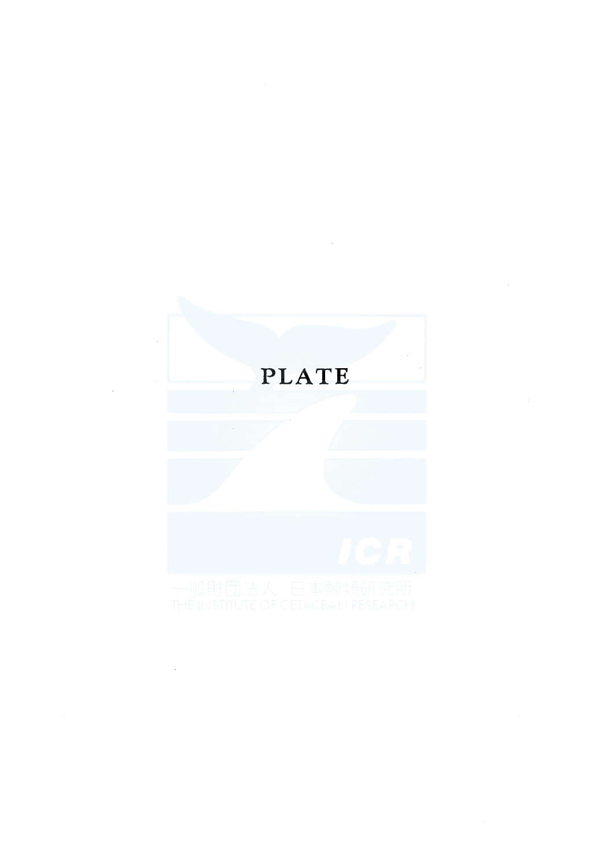# PLATE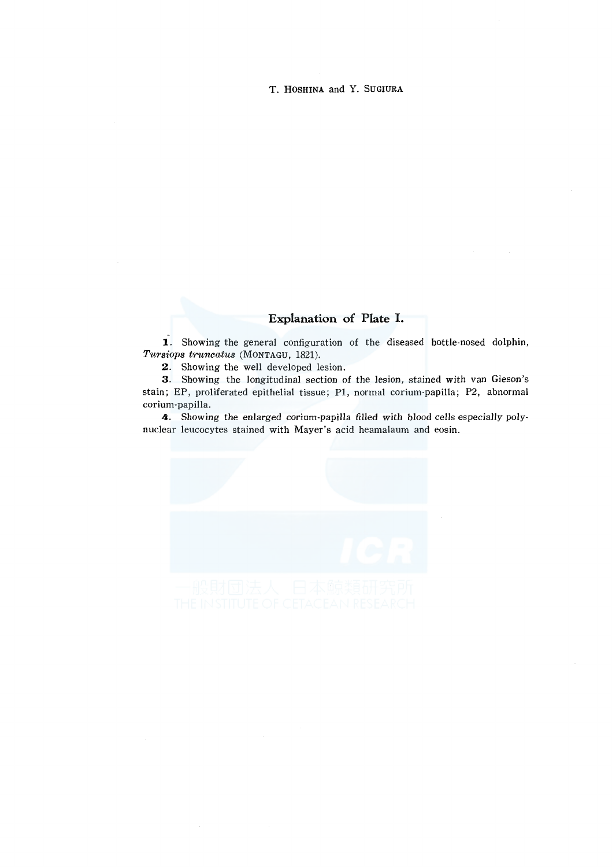# **Explanation of Plate I.**

**1.** Showing the general configuration of the diseased bottle-nosed dolphin, *Tursiops truncatus* (MONTAGU, 1821).

2. Showing the well developed lesion.

3. Showing the longitudinal section of the lesion, stained with van Gieson's stain; EP, proliferated epithelial tissue; Pl, normal corium-papilla; P2, abnormal corium-papilla.

4. Showing the enlarged corium-papilla filled with blood cells especially polynuclear leucocytes stained with Mayer's acid heamalaum and eosin.

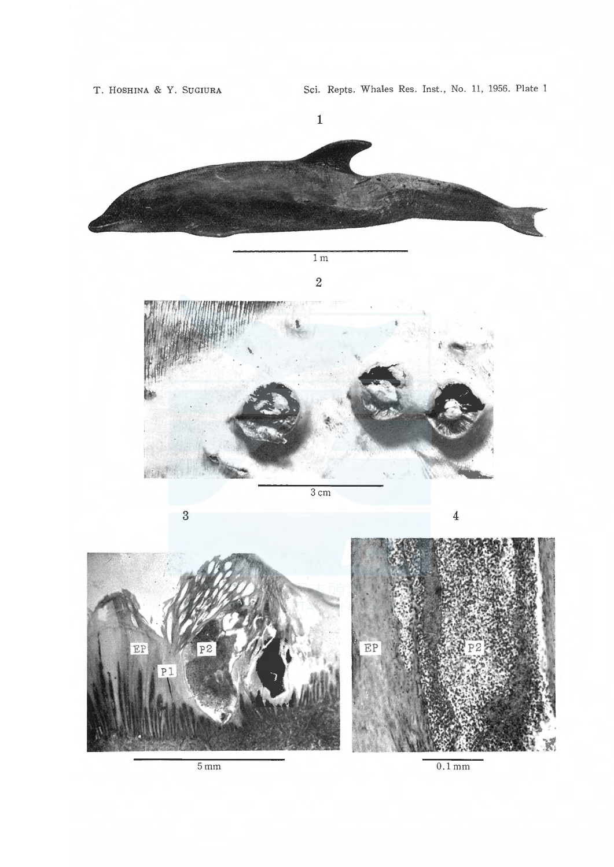

 $5 \text{ mm}$ 

 $0.1 \,\mathrm{mm}$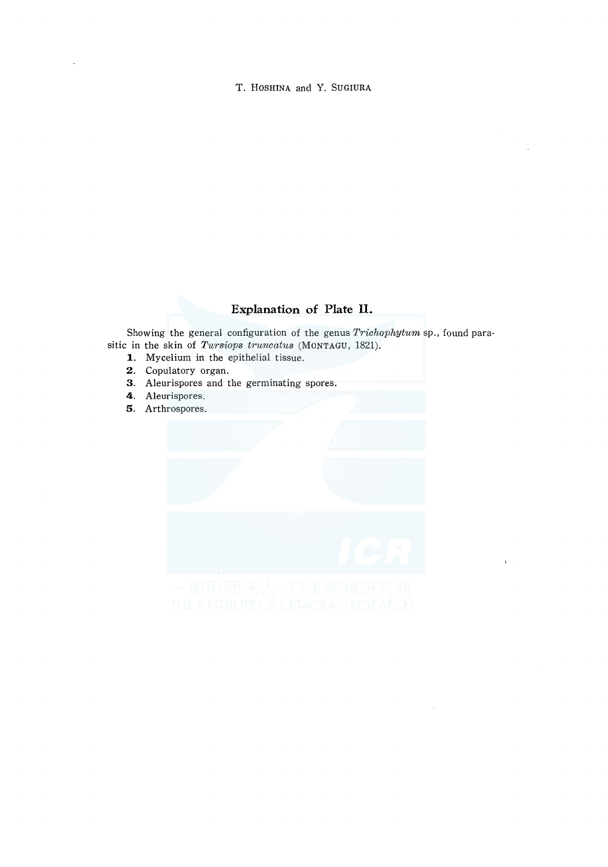# **Explanation of Plate II.**

Showing the general configuration of the genus *Trichophytum* sp., found parasitic in the skin of *Tursiops truncatus* (MONTAGU, 1821).

- **1.** Mycelium in the epithelial tissue.
- **2.** Copulatory organ.
- 3. Aleurispores and the germinating spores.
- **4.** Aleurispores.
- **5.** Arthrospores.